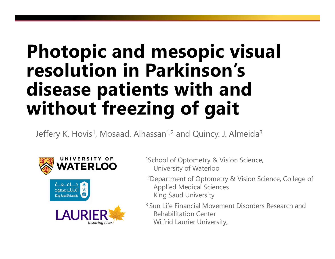#### **Photopic and mesopic visual resolution in Parkinson's disease patients with and without freezing of gait**

Jeffery K. Hovis<sup>1</sup>, Mosaad. Alhassan<sup>1,2</sup> and Quincy. J. Almeida<sup>3</sup>



- 1School of Optometry & Vision Science, University of Waterloo
- 2Department of Optometry & Vision Science, College of Applied Medical Sciences King Saud University
- 3 Sun Life Financial Movement Disorders Research and Rehabilitation Center Wilfrid Laurier University,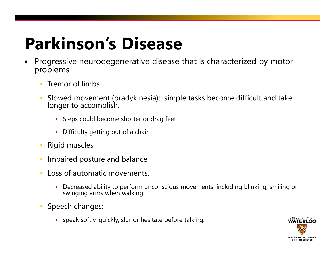### **Parkinson's Disease**

- $\blacksquare$  Progressive neurodegenerative disease that is characterized by motor problems
	- $\overline{\mathbb{R}}$ Tremor of limbs
	- Slowed movement (bradykinesia): simple tasks become difficult and take longer to accomplish.
		- Steps could become shorter or drag feet
		- $\blacksquare$ Difficulty getting out of a chair
	- $\blacksquare$ Rigid muscles
	- Impaired posture and balance
	- **Loss of automatic movements.** 
		- Decreased ability to perform unconscious movements, including blinking, smiling or<br>swinging arms when walking.
	- **Speech changes:** 
		- speak softly, quickly, slur or hesitate before talking.

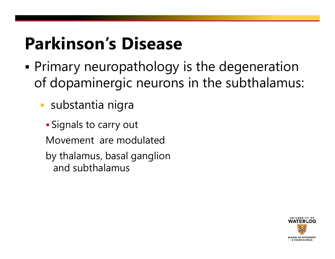### **Parkinson's Disease**

- Ξ Primary neuropathology is the degeneration of dopaminergic neurons in the subthalamus:
	- substantia nigra
	- Signals to carry out Movement are modulated by thalamus, basal ganglion and subthalamus

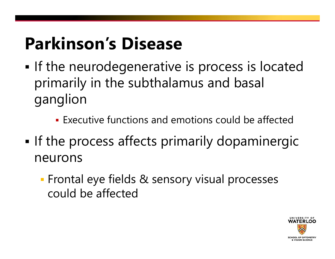### **Parkinson's Disease**

- Ξ **If the neurodegenerative is process is located** primarily in the subthalamus and basal ganglion
	- Executive functions and emotions could be affected
- **If the process affects primarily dopaminergic** neurons
	- **Frontal eye fields & sensory visual processes** could be affected

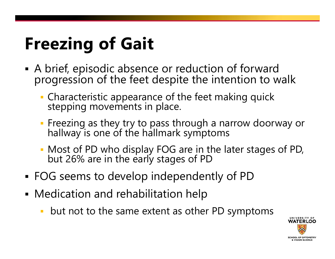# **Freezing of Gait**

- A brief, episodic absence or reduction of forward progression of the feet despite the intention to walk
	- **Characteristic appearance of the feet making quick** stepping movements in place.
	- Freezing as they try to pass through a narrow doorway or hallway is one of the hallmark symptoms
	- Most of PD who display FOG are in the later stages of PD, but 26% are in the early stages of PD
- ٠ FOG seems to develop independently of PD
- ٠ Medication and rehabilitation help
	- but not to the same extent as other PD symptoms

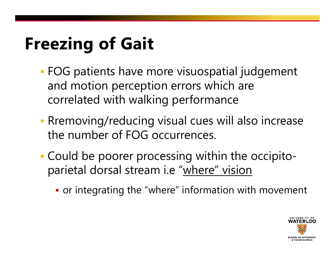# **Freezing of Gait**

- FOG patients have more visuospatial judgement and motion perception errors which are correlated with walking performance
- Rremoving/reducing visual cues will also increase the number of FOG occurrences.
- Could be poorer processing within the occipitoparietal dorsal stream i.e "where" vision
	- or integrating the "where" information with movement

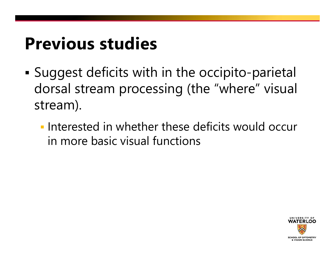#### **Previous studies**

- Suggest deficits with in the occipito-parietal dorsal stream processing (the "where" visual stream).
	- **Interested in whether these deficits would occur** in more basic visual functions

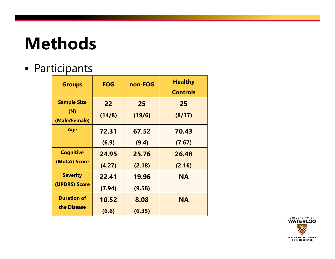### **Methods**

#### ٠ Participants

| <b>Groups</b>                              | <b>FOG</b>   | non-FOG      | <b>Healthy</b><br><b>Controls</b> |
|--------------------------------------------|--------------|--------------|-----------------------------------|
| <b>Sample Size</b><br>(N)<br>(Male/Female) | 22<br>(14/8) | 25<br>(19/6) | 25<br>(8/17)                      |
| Age                                        | 72.31        | 67.52        | 70.43                             |
|                                            | (6.9)        | (9.4)        | (7.67)                            |
| <b>Cognitive</b>                           | 24.95        | 25.76        | 26.48                             |
| (MoCA) Score                               | (4.27)       | (2.18)       | (2.16)                            |
| <b>Severity</b>                            | 22.41        | 19.96        | <b>NA</b>                         |
| (UPDRS) Score                              | (7.94)       | (9.58)       |                                   |
| <b>Duration of</b>                         | 10.52        | 8.08         | <b>NA</b>                         |
| the Disease                                | (6.6)        | (6.35)       |                                   |

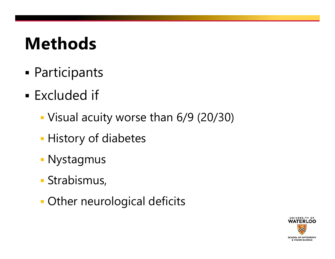#### **Methods**

- Participants
- **Excluded if** 
	- Visual acuity worse than 6/9 (20/30)
	- **History of diabetes**
	- Nystagmus
	- Strabismus,
	- Other neurological deficits

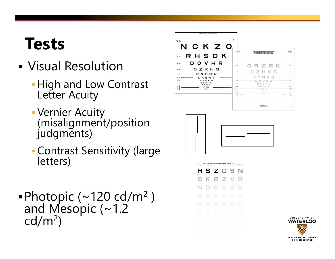#### **Tests**

- Visual Resolution
	- High and Low Contrast<br>Letter Acuity
	- Vernier Acuity (misalignment/position<br>judgments)
	- Contrast Sensitivity (large letters)
- **-** Photopic (~120 cd/m<sup>2</sup>)<br>and Mesopic (~1.2<br>cd/m<sup>2</sup>)



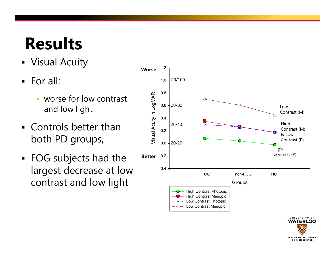## **Results**

- Visual Acuity
- $\blacksquare$  For all:
	- $\mathcal{L}_{\mathcal{A}}$  worse for low contrast and low light
- Controls better than both PD groups,
- FOG subjects had the largest decrease at low



UNIVERSITY OF **WATERLOO** 

**SCHOOL OF OPTOMETRY** & VISION SCIENCE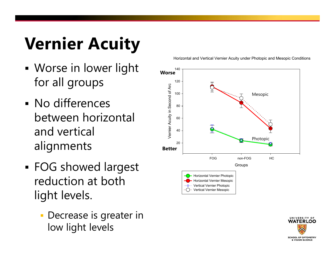# **Vernier Acuity**

- Worse in lower light for all groups
- No differences between horizontal and vertical alignments
- FOG showed largest reduction at both light levels.
	- **Decrease is greater in** low light levels

Horizontal and Vertical Vernier Acuity under Photopic and Mesopic Conditions



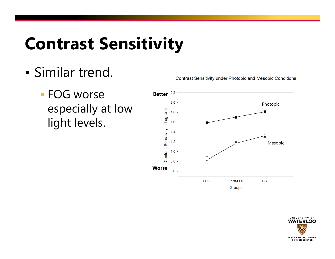### **Contrast Sensitivity**

- Similar trend.
	- FOG worse especially at low light levels.

**Contrast Sensitivity under Photopic and Mesopic Conditions** 



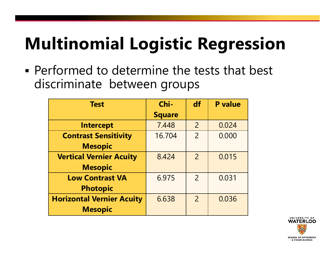## **Multinomial Logistic Regression**

 Performed to determine the tests that best discriminate between groups

| <b>Test</b>                      | Chi-          | df             | <b>P</b> value |
|----------------------------------|---------------|----------------|----------------|
|                                  | <b>Square</b> |                |                |
| <b>Intercept</b>                 | 7.448         | $\overline{2}$ | 0.024          |
| <b>Contrast Sensitivity</b>      | 16.704        | $\overline{2}$ | 0.000          |
| <b>Mesopic</b>                   |               |                |                |
| <b>Vertical Vernier Acuity</b>   | 8.424         | $\overline{2}$ | 0.015          |
| <b>Mesopic</b>                   |               |                |                |
| <b>Low Contrast VA</b>           | 6.975         | $\overline{2}$ | 0.031          |
| <b>Photopic</b>                  |               |                |                |
| <b>Horizontal Vernier Acuity</b> | 6.638         | $\overline{2}$ | 0.036          |
| <b>Mesopic</b>                   |               |                |                |

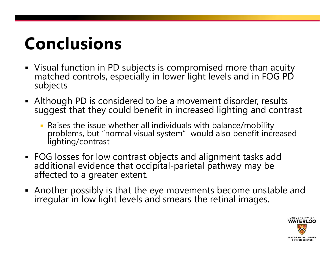#### **Conclusions**

- Visual function in PD subjects is compromised more than acuity matched controls, especially in lower light levels and in FOG PD subjects
- Although PD is considered to be a movement disorder, results suggest that they could benefit in increased lighting and contrast
	- Raises the issue whether all individuals with balance/mobility problems, but "normal visual system" would also benefit increased<br>lighting/contrast
- FOG losses for low contrast objects and alignment tasks add additional evidence that occipital-parietal pathway may be<br>affected to a greater extent.
- Another possibly is that the eye movements become unstable and irregular in low light levels and smears the retinal images.